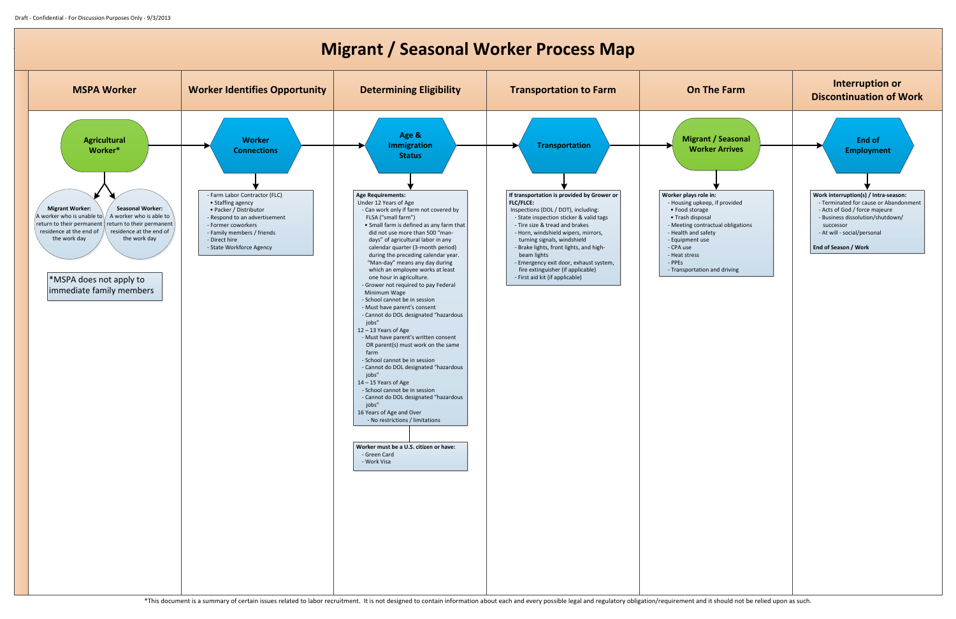